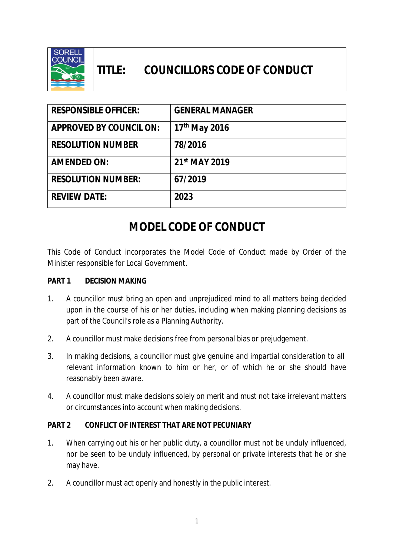

# **TITLE: COUNCILLORS CODE OF CONDUCT**

| <b>RESPONSIBLE OFFICER:</b>    | <b>GENERAL MANAGER</b>    |
|--------------------------------|---------------------------|
| <b>APPROVED BY COUNCIL ON:</b> | 17 <sup>th</sup> May 2016 |
| <b>RESOLUTION NUMBER</b>       | 78/2016                   |
| <b>AMENDED ON:</b>             | 21st MAY 2019             |
| <b>RESOLUTION NUMBER:</b>      | 67/2019                   |
| <b>REVIEW DATE:</b>            | 2023                      |

# **MODEL CODE OF CONDUCT**

This Code of Conduct incorporates the Model Code of Conduct made by Order of the Minister responsible for Local Government.

#### **PART 1 DECISION MAKING**

- 1. A councillor must bring an open and unprejudiced mind to all matters being decided upon in the course of his or her duties, including when making planning decisions as part of the Council's role as a Planning Authority.
- 2. A councillor must make decisions free from personal bias or prejudgement.
- 3. In making decisions, a councillor must give genuine and impartial consideration to all relevant information known to him or her, or of which he or she should have reasonably been aware.
- 4. A councillor must make decisions solely on merit and must not take irrelevant matters or circumstances into account when making decisions.

#### **PART 2 CONFLICT OF INTEREST THAT ARE NOT PECUNIARY**

- 1. When carrying out his or her public duty, a councillor must not be unduly influenced, nor be seen to be unduly influenced, by personal or private interests that he or she may have.
- 2. A councillor must act openly and honestly in the public interest.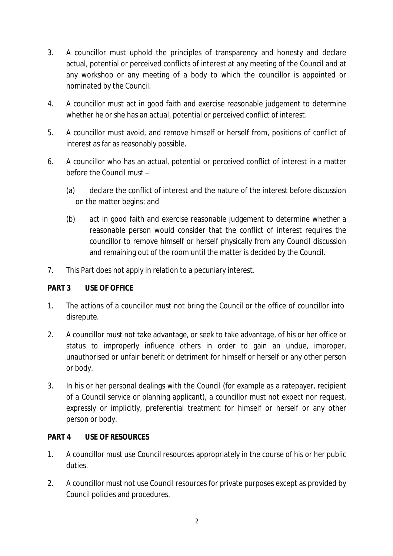- 3. A councillor must uphold the principles of transparency and honesty and declare actual, potential or perceived conflicts of interest at any meeting of the Council and at any workshop or any meeting of a body to which the councillor is appointed or nominated by the Council.
- 4. A councillor must act in good faith and exercise reasonable judgement to determine whether he or she has an actual, potential or perceived conflict of interest.
- 5. A councillor must avoid, and remove himself or herself from, positions of conflict of interest as far as reasonably possible.
- 6. A councillor who has an actual, potential or perceived conflict of interest in a matter before the Council must –
	- (a) declare the conflict of interest and the nature of the interest before discussion on the matter begins; and
	- (b) act in good faith and exercise reasonable judgement to determine whether a reasonable person would consider that the conflict of interest requires the councillor to remove himself or herself physically from any Council discussion and remaining out of the room until the matter is decided by the Council.
- 7. This Part does not apply in relation to a pecuniary interest.

## **PART 3 USE OF OFFICE**

- 1. The actions of a councillor must not bring the Council or the office of councillor into disrepute.
- 2. A councillor must not take advantage, or seek to take advantage, of his or her office or status to improperly influence others in order to gain an undue, improper, unauthorised or unfair benefit or detriment for himself or herself or any other person or body.
- 3. In his or her personal dealings with the Council (for example as a ratepayer, recipient of a Council service or planning applicant), a councillor must not expect nor request, expressly or implicitly, preferential treatment for himself or herself or any other person or body.

#### **PART 4 USE OF RESOURCES**

- 1. A councillor must use Council resources appropriately in the course of his or her public duties.
- 2. A councillor must not use Council resources for private purposes except as provided by Council policies and procedures.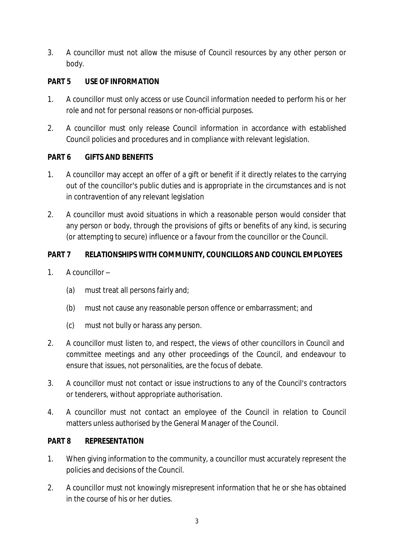3. A councillor must not allow the misuse of Council resources by any other person or body.

## **PART 5 USE OF INFORMATION**

- 1. A councillor must only access or use Council information needed to perform his or her role and not for personal reasons or non-official purposes.
- 2. A councillor must only release Council information in accordance with established Council policies and procedures and in compliance with relevant legislation.

# **PART 6 GIFTS AND BENEFITS**

- 1. A councillor may accept an offer of a gift or benefit if it directly relates to the carrying out of the councillor's public duties and is appropriate in the circumstances and is not in contravention of any relevant legislation
- 2. A councillor must avoid situations in which a reasonable person would consider that any person or body, through the provisions of gifts or benefits of any kind, is securing (or attempting to secure) influence or a favour from the councillor or the Council.

# **PART 7 RELATIONSHIPS WITH COMMUNITY, COUNCILLORS AND COUNCIL EMPLOYEES**

- 1. A councillor
	- (a) must treat all persons fairly and;
	- (b) must not cause any reasonable person offence or embarrassment; and
	- (c) must not bully or harass any person.
- 2. A councillor must listen to, and respect, the views of other councillors in Council and committee meetings and any other proceedings of the Council, and endeavour to ensure that issues, not personalities, are the focus of debate.
- 3. A councillor must not contact or issue instructions to any of the Council's contractors or tenderers, without appropriate authorisation.
- 4. A councillor must not contact an employee of the Council in relation to Council matters unless authorised by the General Manager of the Council.

## **PART 8 REPRESENTATION**

- 1. When giving information to the community, a councillor must accurately represent the policies and decisions of the Council.
- 2. A councillor must not knowingly misrepresent information that he or she has obtained in the course of his or her duties.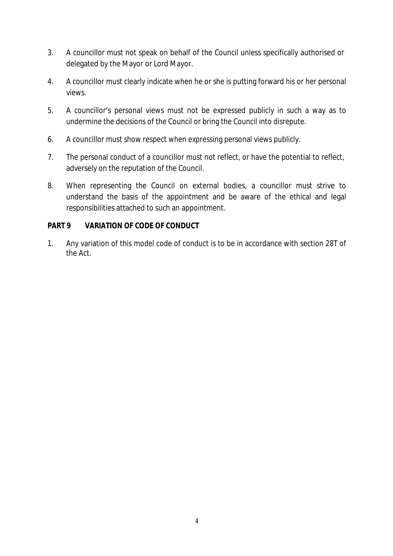- 3. A councillor must not speak on behalf of the Council unless specifically authorised or delegated by the Mayor or Lord Mayor.
- 4. A councillor must clearly indicate when he or she is putting forward his or her personal views.
- 5. A councillor's personal views must not be expressed publicly in such a way as to undermine the decisions of the Council or bring the Council into disrepute.
- 6. A councillor must show respect when expressing personal views publicly.
- 7. The personal conduct of a councillor must not reflect, or have the potential to reflect, adversely on the reputation of the Council.
- 8. When representing the Council on external bodies, a councillor must strive to understand the basis of the appointment and be aware of the ethical and legal responsibilities attached to such an appointment.

## **PART 9 VARIATION OF CODE OF CONDUCT**

1. Any variation of this model code of conduct is to be in accordance with section 28T of the Act.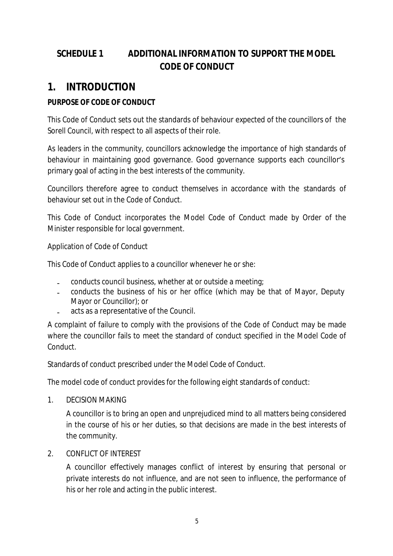# **SCHEDULE 1 ADDITIONAL INFORMATION TO SUPPORT THE** *MODEL CODE OF CONDUCT*

# **1. INTRODUCTION**

# **PURPOSE OF CODE OF CONDUCT**

This Code of Conduct sets out the standards of behaviour expected of the councillors of the Sorell Council, with respect to all aspects of their role.

As leaders in the community, councillors acknowledge the importance of high standards of behaviour in maintaining good governance. Good governance supports each councillor's primary goal of acting in the best interests of the community.

Councillors therefore agree to conduct themselves in accordance with the standards of behaviour set out in the Code of Conduct.

This Code of Conduct incorporates the Model Code of Conduct made by Order of the Minister responsible for local government.

Application of Code of Conduct

This Code of Conduct applies to a councillor whenever he or she:

- conducts council business, whether at or outside a meeting;
- conducts the business of his or her office (which may be that of Mayor, Deputy Mayor or Councillor); or
- acts as a representative of the Council.

A complaint of failure to comply with the provisions of the Code of Conduct may be made where the councillor fails to meet the standard of conduct specified in the Model Code of Conduct.

Standards of conduct prescribed under the Model Code of Conduct.

The model code of conduct provides for the following eight standards of conduct:

1. DECISION MAKING

A councillor is to bring an open and unprejudiced mind to all matters being considered in the course of his or her duties, so that decisions are made in the best interests of the community.

2. CONFLICT OF INTEREST

A councillor effectively manages conflict of interest by ensuring that personal or private interests do not influence, and are not seen to influence, the performance of his or her role and acting in the public interest.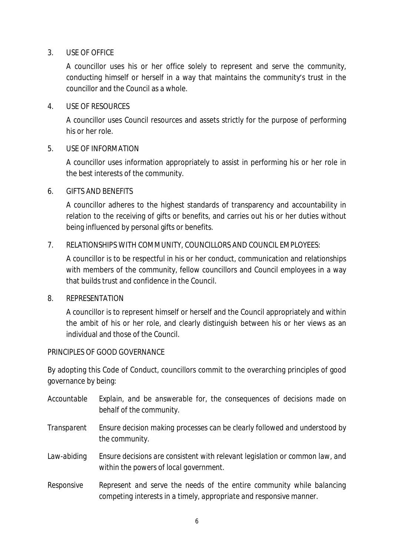#### 3. USE OF OFFICE

A councillor uses his or her office solely to represent and serve the community, conducting himself or herself in a way that maintains the community's trust in the councillor and the Council as a whole.

#### 4. USE OF RESOURCES

A councillor uses Council resources and assets strictly for the purpose of performing his or her role.

#### 5. USE OF INFORMATION

A councillor uses information appropriately to assist in performing his or her role in the best interests of the community.

#### 6. GIFTS AND BENEFITS

A councillor adheres to the highest standards of transparency and accountability in relation to the receiving of gifts or benefits, and carries out his or her duties without being influenced by personal gifts or benefits.

#### 7. RELATIONSHIPS WITH COMMUNITY, COUNCILLORS AND COUNCIL EMPLOYEES:

A councillor is to be respectful in his or her conduct, communication and relationships with members of the community, fellow councillors and Council employees in a way that builds trust and confidence in the Council.

#### 8. REPRESENTATION

A councillor is to represent himself or herself and the Council appropriately and within the ambit of his or her role, and clearly distinguish between his or her views as an individual and those of the Council.

#### PRINCIPLES OF GOOD GOVERNANCE

By adopting this Code of Conduct, councillors commit to the overarching principles of good governance by being:

- *Accountable Explain, and be answerable for, the consequences of decisions made on behalf of the community.*
- *Transparent Ensure decision making processes can be clearly followed and understood by the community.*
- *Law-abiding Ensure decisions are consistent with relevant legislation or common law, and within the powers of local government.*
- *Responsive Represent and serve the needs of the entire community while balancing competing interests in a timely, appropriate and responsive manner.*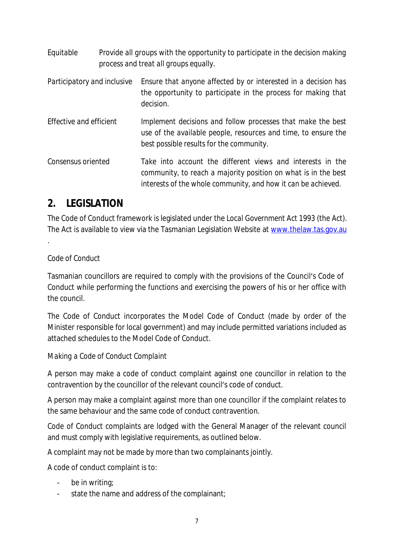| Equitable                   | Provide all groups with the opportunity to participate in the decision making<br>process and treat all groups equally.                                                                        |
|-----------------------------|-----------------------------------------------------------------------------------------------------------------------------------------------------------------------------------------------|
| Participatory and inclusive | Ensure that anyone affected by or interested in a decision has<br>the opportunity to participate in the process for making that<br>decision.                                                  |
| Effective and efficient     | Implement decisions and follow processes that make the best<br>use of the available people, resources and time, to ensure the<br>best possible results for the community.                     |
| Consensus oriented          | Take into account the different views and interests in the<br>community, to reach a majority position on what is in the best<br>interests of the whole community, and how it can be achieved. |

# **2. LEGISLATION**

The Code of Conduct framework is legislated under the *Local Government Act 1993* (the Act). The Act is available to view via the Tasmanian Legislation Website at www.thelaw.tas.gov.au

# *Code of Conduct*

.

Tasmanian councillors are required to comply with the provisions of the Council's Code of Conduct while performing the functions and exercising the powers of his or her office with the council.

The Code of Conduct incorporates the Model Code of Conduct (made by order of the Minister responsible for local government) and may include permitted variations included as attached schedules to the Model Code of Conduct.

## *Making a Code of Conduct Complaint*

A person may make a code of conduct complaint against one councillor in relation to the contravention by the councillor of the relevant council's code of conduct.

A person may make a complaint against more than one councillor if the complaint relates to the same behaviour and the same code of conduct contravention.

Code of Conduct complaints are lodged with the General Manager of the relevant council and must comply with legislative requirements, as outlined below.

A complaint may not be made by more than two complainants jointly.

A code of conduct complaint is to:

- be in writing:
- state the name and address of the complainant;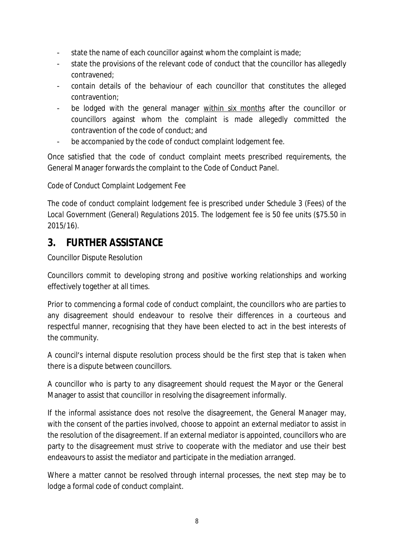- state the name of each councillor against whom the complaint is made;
- state the provisions of the relevant code of conduct that the councillor has allegedly contravened;
- contain details of the behaviour of each councillor that constitutes the alleged contravention;
- be lodged with the general manager within six months after the councillor or councillors against whom the complaint is made allegedly committed the contravention of the code of conduct; and
- be accompanied by the code of conduct complaint lodgement fee.

Once satisfied that the code of conduct complaint meets prescribed requirements, the General Manager forwards the complaint to the Code of Conduct Panel.

#### *Code of Conduct Complaint Lodgement Fee*

The code of conduct complaint lodgement fee is prescribed under Schedule 3 (Fees) of the *Local Government (General) Regulations 2015*. The lodgement fee is 50 fee units (\$75.50 in 2015/16).

# **3. FURTHER ASSISTANCE**

Councillor Dispute Resolution

Councillors commit to developing strong and positive working relationships and working effectively together at all times.

Prior to commencing a formal code of conduct complaint, the councillors who are parties to any disagreement should endeavour to resolve their differences in a courteous and respectful manner, recognising that they have been elected to act in the best interests of the community.

A council's internal dispute resolution process should be the first step that is taken when there is a dispute between councillors.

A councillor who is party to any disagreement should request the Mayor or the General Manager to assist that councillor in resolving the disagreement informally.

If the informal assistance does not resolve the disagreement, the General Manager may, with the consent of the parties involved, choose to appoint an external mediator to assist in the resolution of the disagreement. If an external mediator is appointed, councillors who are party to the disagreement must strive to cooperate with the mediator and use their best endeavours to assist the mediator and participate in the mediation arranged.

Where a matter cannot be resolved through internal processes, the next step may be to lodge a formal code of conduct complaint.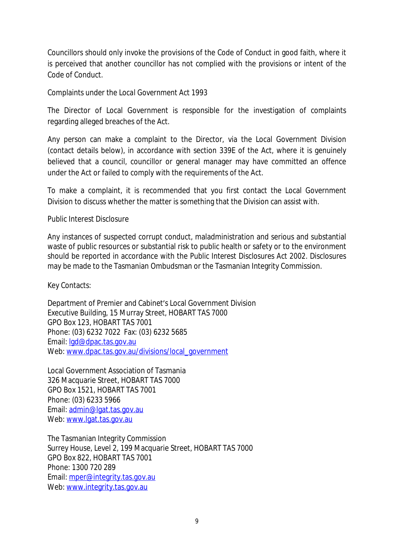Councillors should only invoke the provisions of the Code of Conduct in good faith, where it is perceived that another councillor has not complied with the provisions or intent of the Code of Conduct.

Complaints under the *Local Government Act 1993*

The Director of Local Government is responsible for the investigation of complaints regarding alleged breaches of the Act.

Any person can make a complaint to the Director, via the Local Government Division (contact details below), in accordance with section 339E of the Act, where it is genuinely believed that a council, councillor or general manager may have committed an offence under the Act or failed to comply with the requirements of the Act.

To make a complaint, it is recommended that you first contact the Local Government Division to discuss whether the matter is something that the Division can assist with.

Public Interest Disclosure

Any instances of suspected corrupt conduct, maladministration and serious and substantial waste of public resources or substantial risk to public health or safety or to the environment should be reported in accordance with the *Public Interest Disclosures Act 2002*. Disclosures may be made to the Tasmanian Ombudsman or the Tasmanian Integrity Commission.

Key Contacts:

Department of Premier and Cabinet's Local Government Division Executive Building, 15 Murray Street, HOBART TAS 7000 GPO Box 123, HOBART TAS 7001 Phone: (03) 6232 7022 Fax: (03) 6232 5685 Email: lgd@dpac.tas.gov.au Web: www.dpac.tas.gov.au/divisions/local\_government

Local Government Association of Tasmania 326 Macquarie Street, HOBART TAS 7000 GPO Box 1521, HOBART TAS 7001 Phone: (03) 6233 5966 Email: admin@lgat.tas.gov.au Web: www.lgat.tas.gov.au

The Tasmanian Integrity Commission Surrey House, Level 2, 199 Macquarie Street, HOBART TAS 7000 GPO Box 822, HOBART TAS 7001 Phone: 1300 720 289 Email: mper@integrity.tas.gov.au Web: www.integrity.tas.gov.au